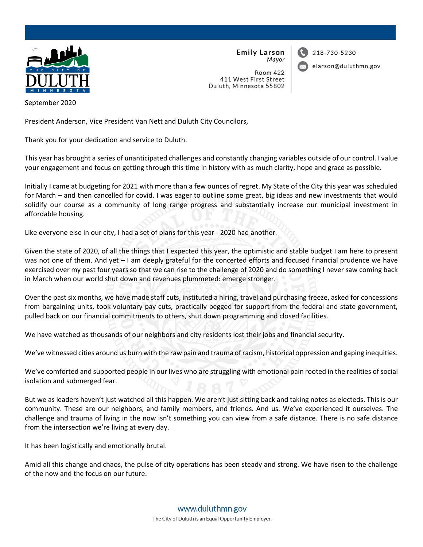

**Emily Larson** Mayor

Duluth, Minnesota 55802

218-730-5230

**Room 422** 411 West First Street

elarson@duluthmn.gov

September 2020

President Anderson, Vice President Van Nett and Duluth City Councilors,

Thank you for your dedication and service to Duluth.

This year has brought a series of unanticipated challenges and constantly changing variables outside of our control. I value your engagement and focus on getting through this time in history with as much clarity, hope and grace as possible.

Initially I came at budgeting for 2021 with more than a few ounces of regret. My State of the City this year was scheduled for March – and then cancelled for covid. I was eager to outline some great, big ideas and new investments that would solidify our course as a community of long range progress and substantially increase our municipal investment in affordable housing.

Like everyone else in our city, I had a set of plans for this year - 2020 had another.

Given the state of 2020, of all the things that I expected this year, the optimistic and stable budget I am here to present was not one of them. And yet – I am deeply grateful for the concerted efforts and focused financial prudence we have exercised over my past four years so that we can rise to the challenge of 2020 and do something I never saw coming back in March when our world shut down and revenues plummeted: emerge stronger.

Over the past six months, we have made staff cuts, instituted a hiring, travel and purchasing freeze, asked for concessions from bargaining units, took voluntary pay cuts, practically begged for support from the federal and state government, pulled back on our financial commitments to others, shut down programming and closed facilities.

We have watched as thousands of our neighbors and city residents lost their jobs and financial security.

We've witnessed cities around us burn with the raw pain and trauma of racism, historical oppression and gaping inequities.

We've comforted and supported people in our lives who are struggling with emotional pain rooted in the realities of social isolation and submerged fear.

But we as leaders haven't just watched all this happen. We aren't just sitting back and taking notes as electeds. This is our community. These are our neighbors, and family members, and friends. And us. We've experienced it ourselves. The challenge and trauma of living in the now isn't something you can view from a safe distance. There is no safe distance from the intersection we're living at every day.

It has been logistically and emotionally brutal.

Amid all this change and chaos, the pulse of city operations has been steady and strong. We have risen to the challenge of the now and the focus on our future.